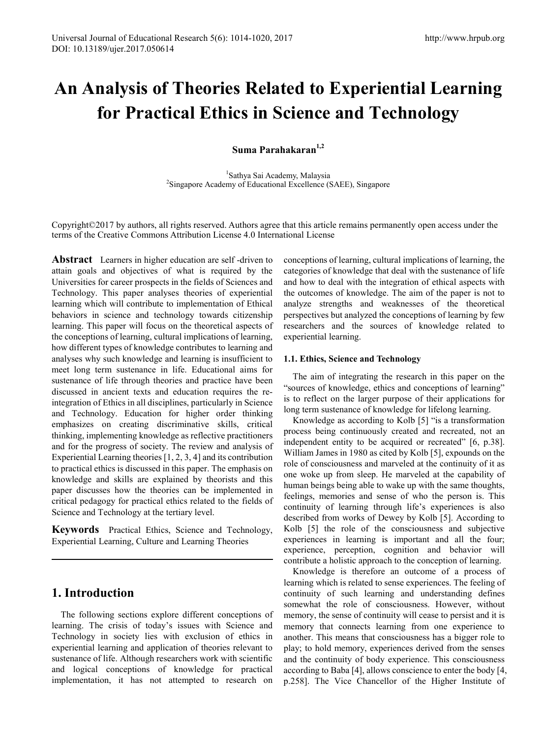# **An Analysis of Theories Related to Experiential Learning for Practical Ethics in Science and Technology**

**Suma Parahakaran1,2**

<sup>1</sup>Sathya Sai Academy, Malaysia Sathya Sai Academy, Malaysia <sup>2</sup> Singapore Academy of Educational Excellence (SAEE), Singapore

Copyright©2017 by authors, all rights reserved. Authors agree that this article remains permanently open access under the terms of the Creative Commons Attribution License 4.0 International License

**Abstract** Learners in higher education are self -driven to attain goals and objectives of what is required by the Universities for career prospects in the fields of Sciences and Technology. This paper analyses theories of experiential learning which will contribute to implementation of Ethical behaviors in science and technology towards citizenship learning. This paper will focus on the theoretical aspects of the conceptions of learning, cultural implications of learning, how different types of knowledge contributes to learning and analyses why such knowledge and learning is insufficient to meet long term sustenance in life. Educational aims for sustenance of life through theories and practice have been discussed in ancient texts and education requires the reintegration of Ethics in all disciplines, particularly in Science and Technology. Education for higher order thinking emphasizes on creating discriminative skills, critical thinking, implementing knowledge as reflective practitioners and for the progress of society. The review and analysis of Experiential Learning theories [1, 2, 3, 4] and its contribution to practical ethics is discussed in this paper. The emphasis on knowledge and skills are explained by theorists and this paper discusses how the theories can be implemented in critical pedagogy for practical ethics related to the fields of Science and Technology at the tertiary level.

**Keywords** Practical Ethics, Science and Technology, Experiential Learning, Culture and Learning Theories

## **1. Introduction**

The following sections explore different conceptions of learning. The crisis of today's issues with Science and Technology in society lies with exclusion of ethics in experiential learning and application of theories relevant to sustenance of life. Although researchers work with scientific and logical conceptions of knowledge for practical implementation, it has not attempted to research on

conceptions of learning, cultural implications of learning, the categories of knowledge that deal with the sustenance of life and how to deal with the integration of ethical aspects with the outcomes of knowledge. The aim of the paper is not to analyze strengths and weaknesses of the theoretical perspectives but analyzed the conceptions of learning by few researchers and the sources of knowledge related to experiential learning.

#### **1.1. Ethics, Science and Technology**

The aim of integrating the research in this paper on the "sources of knowledge, ethics and conceptions of learning" is to reflect on the larger purpose of their applications for long term sustenance of knowledge for lifelong learning.

Knowledge as according to Kolb [5] "is a transformation process being continuously created and recreated, not an independent entity to be acquired or recreated" [6, p.38]. William James in 1980 as cited by Kolb [5], expounds on the role of consciousness and marveled at the continuity of it as one woke up from sleep. He marveled at the capability of human beings being able to wake up with the same thoughts, feelings, memories and sense of who the person is. This continuity of learning through life's experiences is also described from works of Dewey by Kolb [5]. According to Kolb [5] the role of the consciousness and subjective experiences in learning is important and all the four; experience, perception, cognition and behavior will contribute a holistic approach to the conception of learning.

Knowledge is therefore an outcome of a process of learning which is related to sense experiences. The feeling of continuity of such learning and understanding defines somewhat the role of consciousness. However, without memory, the sense of continuity will cease to persist and it is memory that connects learning from one experience to another. This means that consciousness has a bigger role to play; to hold memory, experiences derived from the senses and the continuity of body experience. This consciousness according to Baba [4], allows conscience to enter the body [4, p.258]. The Vice Chancellor of the Higher Institute of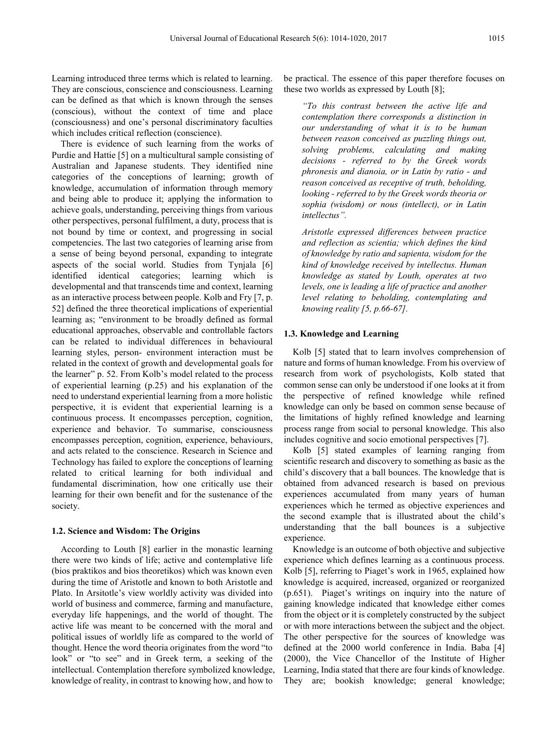Learning introduced three terms which is related to learning. They are conscious, conscience and consciousness. Learning can be defined as that which is known through the senses (conscious), without the context of time and place (consciousness) and one's personal discriminatory faculties which includes critical reflection (conscience).

There is evidence of such learning from the works of Purdie and Hattie [5] on a multicultural sample consisting of Australian and Japanese students. They identified nine categories of the conceptions of learning; growth of knowledge, accumulation of information through memory and being able to produce it; applying the information to achieve goals, understanding, perceiving things from various other perspectives, personal fulfilment, a duty, process that is not bound by time or context, and progressing in social competencies. The last two categories of learning arise from a sense of being beyond personal, expanding to integrate aspects of the social world. Studies from Tynjala [6] identified identical categories; learning which is developmental and that transcends time and context, learning as an interactive process between people. Kolb and Fry [7, p. 52] defined the three theoretical implications of experiential learning as; "environment to be broadly defined as formal educational approaches, observable and controllable factors can be related to individual differences in behavioural learning styles, person- environment interaction must be related in the context of growth and developmental goals for the learner" p. 52. From Kolb's model related to the process of experiential learning (p.25) and his explanation of the need to understand experiential learning from a more holistic perspective, it is evident that experiential learning is a continuous process. It encompasses perception, cognition, experience and behavior. To summarise, consciousness encompasses perception, cognition, experience, behaviours, and acts related to the conscience. Research in Science and Technology has failed to explore the conceptions of learning related to critical learning for both individual and fundamental discrimination, how one critically use their learning for their own benefit and for the sustenance of the society.

#### **1.2. Science and Wisdom: The Origins**

According to Louth [8] earlier in the monastic learning there were two kinds of life; active and contemplative life (bios praktikos and bios theoretikos) which was known even during the time of Aristotle and known to both Aristotle and Plato. In Arsitotle's view worldly activity was divided into world of business and commerce, farming and manufacture, everyday life happenings, and the world of thought. The active life was meant to be concerned with the moral and political issues of worldly life as compared to the world of thought. Hence the word theoria originates from the word "to look" or "to see" and in Greek term, a seeking of the intellectual. Contemplation therefore symbolized knowledge, knowledge of reality, in contrast to knowing how, and how to

be practical. The essence of this paper therefore focuses on these two worlds as expressed by Louth [8];

*"To this contrast between the active life and contemplation there corresponds a distinction in our understanding of what it is to be human between reason conceived as puzzling things out, solving problems, calculating and making decisions - referred to by the Greek words phronesis and dianoia, or in Latin by ratio - and reason conceived as receptive of truth, beholding, looking - referred to by the Greek words theoria or sophia (wisdom) or nous (intellect), or in Latin intellectus".*

*Aristotle expressed differences between practice and reflection as scientia; which defines the kind of knowledge by ratio and sapienta, wisdom for the kind of knowledge received by intellectus. Human knowledge as stated by Louth, operates at two levels, one is leading a life of practice and another level relating to beholding, contemplating and knowing reality [5, p.66-67].*

#### **1.3. Knowledge and Learning**

Kolb [5] stated that to learn involves comprehension of nature and forms of human knowledge. From his overview of research from work of psychologists, Kolb stated that common sense can only be understood if one looks at it from the perspective of refined knowledge while refined knowledge can only be based on common sense because of the limitations of highly refined knowledge and learning process range from social to personal knowledge. This also includes cognitive and socio emotional perspectives [7].

Kolb [5] stated examples of learning ranging from scientific research and discovery to something as basic as the child's discovery that a ball bounces. The knowledge that is obtained from advanced research is based on previous experiences accumulated from many years of human experiences which he termed as objective experiences and the second example that is illustrated about the child's understanding that the ball bounces is a subjective experience.

Knowledge is an outcome of both objective and subjective experience which defines learning as a continuous process. Kolb [5], referring to Piaget's work in 1965, explained how knowledge is acquired, increased, organized or reorganized (p.651). Piaget's writings on inquiry into the nature of gaining knowledge indicated that knowledge either comes from the object or it is completely constructed by the subject or with more interactions between the subject and the object. The other perspective for the sources of knowledge was defined at the 2000 world conference in India. Baba [4] (2000), the Vice Chancellor of the Institute of Higher Learning, India stated that there are four kinds of knowledge. They are; bookish knowledge; general knowledge;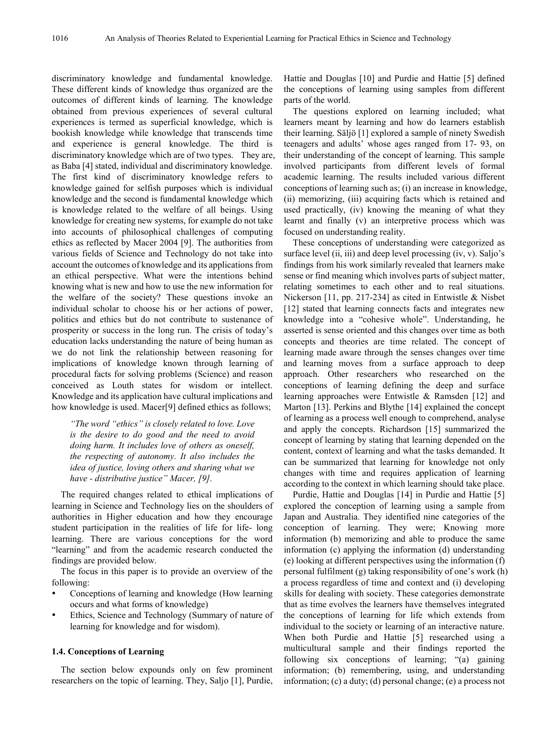discriminatory knowledge and fundamental knowledge. These different kinds of knowledge thus organized are the outcomes of different kinds of learning. The knowledge obtained from previous experiences of several cultural experiences is termed as superficial knowledge, which is bookish knowledge while knowledge that transcends time and experience is general knowledge. The third is discriminatory knowledge which are of two types. They are, as Baba [4] stated, individual and discriminatory knowledge. The first kind of discriminatory knowledge refers to knowledge gained for selfish purposes which is individual knowledge and the second is fundamental knowledge which is knowledge related to the welfare of all beings. Using knowledge for creating new systems, for example do not take into accounts of philosophical challenges of computing ethics as reflected by Macer 2004 [9]. The authorities from various fields of Science and Technology do not take into account the outcomes of knowledge and its applications from an ethical perspective. What were the intentions behind knowing what is new and how to use the new information for the welfare of the society? These questions invoke an individual scholar to choose his or her actions of power, politics and ethics but do not contribute to sustenance of prosperity or success in the long run. The crisis of today's education lacks understanding the nature of being human as we do not link the relationship between reasoning for implications of knowledge known through learning of procedural facts for solving problems (Science) and reason conceived as Louth states for wisdom or intellect. Knowledge and its application have cultural implications and how knowledge is used. Macer[9] defined ethics as follows;

*"The word "ethics" is closely related to love. Love is the desire to do good and the need to avoid doing harm. It includes love of others as oneself, the respecting of autonomy. It also includes the idea of justice, loving others and sharing what we have - distributive justice" Macer, [9].*

The required changes related to ethical implications of learning in Science and Technology lies on the shoulders of authorities in Higher education and how they encourage student participation in the realities of life for life- long learning. There are various conceptions for the word "learning" and from the academic research conducted the findings are provided below.

The focus in this paper is to provide an overview of the following:

- Conceptions of learning and knowledge (How learning occurs and what forms of knowledge)
- Ethics, Science and Technology (Summary of nature of learning for knowledge and for wisdom).

#### **1.4. Conceptions of Learning**

The section below expounds only on few prominent researchers on the topic of learning. They, Saljo [1], Purdie,

Hattie and Douglas [10] and Purdie and Hattie [5] defined the conceptions of learning using samples from different parts of the world.

The questions explored on learning included; what learners meant by learning and how do learners establish their learning. Säljö [1] explored a sample of ninety Swedish teenagers and adults' whose ages ranged from 17- 93, on their understanding of the concept of learning. This sample involved participants from different levels of formal academic learning. The results included various different conceptions of learning such as; (i) an increase in knowledge, (ii) memorizing, (iii) acquiring facts which is retained and used practically, (iv) knowing the meaning of what they learnt and finally (v) an interpretive process which was focused on understanding reality.

These conceptions of understanding were categorized as surface level (ii, iii) and deep level processing (iv, v). Saljo's findings from his work similarly revealed that learners make sense or find meaning which involves parts of subject matter, relating sometimes to each other and to real situations. Nickerson [11, pp. 217-234] as cited in Entwistle & Nisbet [12] stated that learning connects facts and integrates new knowledge into a "cohesive whole". Understanding, he asserted is sense oriented and this changes over time as both concepts and theories are time related. The concept of learning made aware through the senses changes over time and learning moves from a surface approach to deep approach. Other researchers who researched on the conceptions of learning defining the deep and surface learning approaches were Entwistle & Ramsden [12] and Marton [13]. Perkins and Blythe [14] explained the concept of learning as a process well enough to comprehend, analyse and apply the concepts. Richardson [15] summarized the concept of learning by stating that learning depended on the content, context of learning and what the tasks demanded. It can be summarized that learning for knowledge not only changes with time and requires application of learning according to the context in which learning should take place.

Purdie, Hattie and Douglas [14] in Purdie and Hattie [5] explored the conception of learning using a sample from Japan and Australia. They identified nine categories of the conception of learning. They were; Knowing more information (b) memorizing and able to produce the same information (c) applying the information (d) understanding (e) looking at different perspectives using the information (f) personal fulfilment (g) taking responsibility of one's work (h) a process regardless of time and context and (i) developing skills for dealing with society. These categories demonstrate that as time evolves the learners have themselves integrated the conceptions of learning for life which extends from individual to the society or learning of an interactive nature. When both Purdie and Hattie [5] researched using a multicultural sample and their findings reported the following six conceptions of learning; "(a) gaining information; (b) remembering, using, and understanding information; (c) a duty; (d) personal change; (e) a process not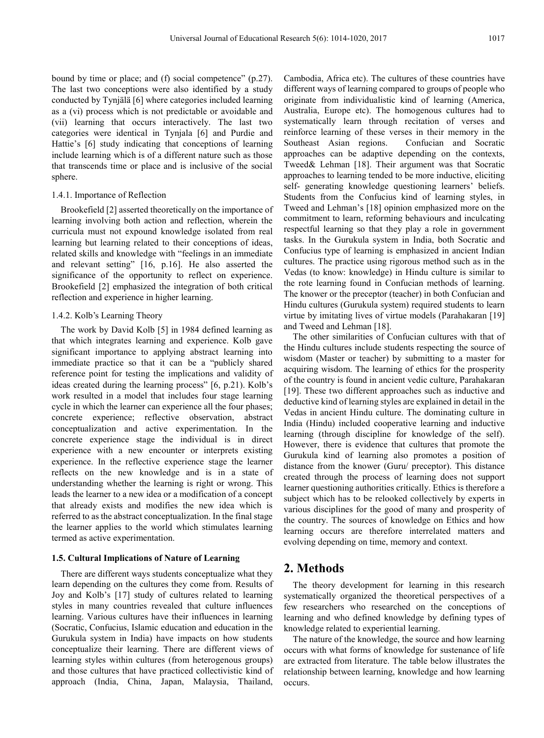bound by time or place; and (f) social competence" (p.27). The last two conceptions were also identified by a study conducted by Tynjälä [6] where categories included learning as a (vi) process which is not predictable or avoidable and (vii) learning that occurs interactively. The last two categories were identical in Tynjala [6] and Purdie and Hattie's [6] study indicating that conceptions of learning include learning which is of a different nature such as those that transcends time or place and is inclusive of the social sphere.

#### 1.4.1. Importance of Reflection

Brookefield [2] asserted theoretically on the importance of learning involving both action and reflection, wherein the curricula must not expound knowledge isolated from real learning but learning related to their conceptions of ideas, related skills and knowledge with "feelings in an immediate and relevant setting" [16, p.16]. He also asserted the significance of the opportunity to reflect on experience. Brookefield [2] emphasized the integration of both critical reflection and experience in higher learning.

#### 1.4.2. Kolb's Learning Theory

The work by David Kolb [5] in 1984 defined learning as that which integrates learning and experience. Kolb gave significant importance to applying abstract learning into immediate practice so that it can be a "publicly shared reference point for testing the implications and validity of ideas created during the learning process" [6, p.21). Kolb's work resulted in a model that includes four stage learning cycle in which the learner can experience all the four phases; concrete experience; reflective observation, abstract conceptualization and active experimentation. In the concrete experience stage the individual is in direct experience with a new encounter or interprets existing experience. In the reflective experience stage the learner reflects on the new knowledge and is in a state of understanding whether the learning is right or wrong. This leads the learner to a new idea or a modification of a concept that already exists and modifies the new idea which is referred to as the abstract conceptualization. In the final stage the learner applies to the world which stimulates learning termed as active experimentation.

#### **1.5. Cultural Implications of Nature of Learning**

There are different ways students conceptualize what they learn depending on the cultures they come from. Results of Joy and Kolb's [17] study of cultures related to learning styles in many countries revealed that culture influences learning. Various cultures have their influences in learning (Socratic, Confucius, Islamic education and education in the Gurukula system in India) have impacts on how students conceptualize their learning. There are different views of learning styles within cultures (from heterogenous groups) and those cultures that have practiced collectivistic kind of approach (India, China, Japan, Malaysia, Thailand,

Cambodia, Africa etc). The cultures of these countries have different ways of learning compared to groups of people who originate from individualistic kind of learning (America, Australia, Europe etc). The homogenous cultures had to systematically learn through recitation of verses and reinforce learning of these verses in their memory in the Southeast Asian regions. Confucian and Socratic approaches can be adaptive depending on the contexts, Tweed& Lehman [18]. Their argument was that Socratic approaches to learning tended to be more inductive, eliciting self- generating knowledge questioning learners' beliefs. Students from the Confucius kind of learning styles, in Tweed and Lehman's [18] opinion emphasized more on the commitment to learn, reforming behaviours and inculcating respectful learning so that they play a role in government tasks. In the Gurukula system in India, both Socratic and Confucius type of learning is emphasized in ancient Indian cultures. The practice using rigorous method such as in the Vedas (to know: knowledge) in Hindu culture is similar to the rote learning found in Confucian methods of learning. The knower or the preceptor (teacher) in both Confucian and Hindu cultures (Gurukula system) required students to learn virtue by imitating lives of virtue models (Parahakaran [19] and Tweed and Lehman [18].

The other similarities of Confucian cultures with that of the Hindu cultures include students respecting the source of wisdom (Master or teacher) by submitting to a master for acquiring wisdom. The learning of ethics for the prosperity of the country is found in ancient vedic culture, Parahakaran [19]. These two different approaches such as inductive and deductive kind of learning styles are explained in detail in the Vedas in ancient Hindu culture. The dominating culture in India (Hindu) included cooperative learning and inductive learning (through discipline for knowledge of the self). However, there is evidence that cultures that promote the Gurukula kind of learning also promotes a position of distance from the knower (Guru/ preceptor). This distance created through the process of learning does not support learner questioning authorities critically. Ethics is therefore a subject which has to be relooked collectively by experts in various disciplines for the good of many and prosperity of the country. The sources of knowledge on Ethics and how learning occurs are therefore interrelated matters and evolving depending on time, memory and context.

## **2. Methods**

The theory development for learning in this research systematically organized the theoretical perspectives of a few researchers who researched on the conceptions of learning and who defined knowledge by defining types of knowledge related to experiential learning.

The nature of the knowledge, the source and how learning occurs with what forms of knowledge for sustenance of life are extracted from literature. The table below illustrates the relationship between learning, knowledge and how learning occurs.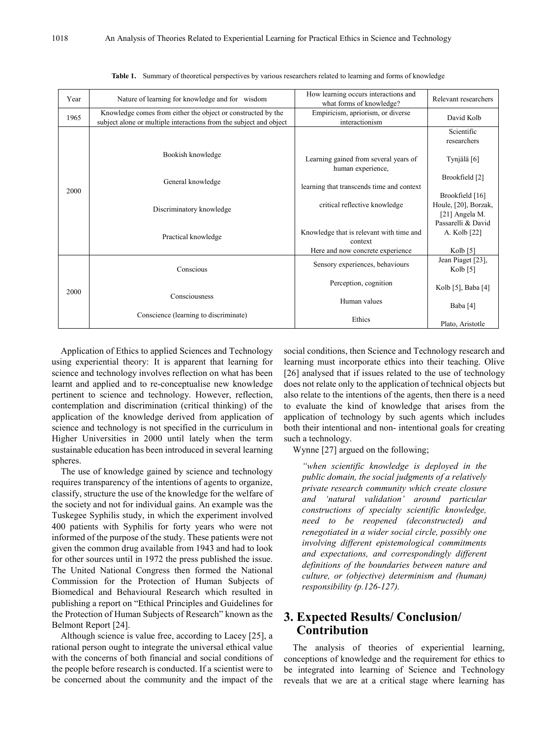| Year | Nature of learning for knowledge and for wisdom                                                                                    | How learning occurs interactions and<br>what forms of knowledge? | Relevant researchers                                      |  |
|------|------------------------------------------------------------------------------------------------------------------------------------|------------------------------------------------------------------|-----------------------------------------------------------|--|
| 1965 | Knowledge comes from either the object or constructed by the<br>subject alone or multiple interactions from the subject and object | Empiricism, apriorism, or diverse<br>interactionism              | David Kolb                                                |  |
|      |                                                                                                                                    |                                                                  | Scientific<br>researchers                                 |  |
| 2000 | Bookish knowledge                                                                                                                  | Learning gained from several years of<br>human experience,       | Tynjälä [6]                                               |  |
|      | General knowledge                                                                                                                  | learning that transcends time and context                        | Brookfield [2]                                            |  |
|      | Discriminatory knowledge                                                                                                           | critical reflective knowledge                                    | Brookfield [16]<br>Houle, [20], Borzak,<br>[21] Angela M. |  |
|      | Practical knowledge                                                                                                                | Knowledge that is relevant with time and<br>context              | Passarelli & David<br>A. Kolb [22]                        |  |
|      |                                                                                                                                    | Here and now concrete experience                                 | Kolb $[5]$                                                |  |
| 2000 | Conscious                                                                                                                          | Sensory experiences, behaviours                                  | Jean Piaget [23],<br>Kolb $\lceil 5 \rceil$               |  |
|      |                                                                                                                                    | Perception, cognition                                            | Kolb [5], Baba [4]                                        |  |
|      | Consciousness                                                                                                                      | Human values                                                     | Baba [4]                                                  |  |
|      | Conscience (learning to discriminate)                                                                                              | Ethics                                                           | Plato, Aristotle                                          |  |

|  | Table 1. Summary of theoretical perspectives by various researchers related to learning and forms of knowledge |  |  |  |  |  |  |  |
|--|----------------------------------------------------------------------------------------------------------------|--|--|--|--|--|--|--|
|--|----------------------------------------------------------------------------------------------------------------|--|--|--|--|--|--|--|

Application of Ethics to applied Sciences and Technology using experiential theory: It is apparent that learning for science and technology involves reflection on what has been learnt and applied and to re-conceptualise new knowledge pertinent to science and technology. However, reflection, contemplation and discrimination (critical thinking) of the application of the knowledge derived from application of science and technology is not specified in the curriculum in Higher Universities in 2000 until lately when the term sustainable education has been introduced in several learning spheres.

The use of knowledge gained by science and technology requires transparency of the intentions of agents to organize, classify, structure the use of the knowledge for the welfare of the society and not for individual gains. An example was the Tuskegee Syphilis study, in which the experiment involved 400 patients with Syphilis for forty years who were not informed of the purpose of the study. These patients were not given the common drug available from 1943 and had to look for other sources until in 1972 the press published the issue. The United National Congress then formed the National Commission for the Protection of Human Subjects of Biomedical and Behavioural Research which resulted in publishing a report on "Ethical Principles and Guidelines for the Protection of Human Subjects of Research" known as the Belmont Report [24].

Although science is value free, according to Lacey [25], a rational person ought to integrate the universal ethical value with the concerns of both financial and social conditions of the people before research is conducted. If a scientist were to be concerned about the community and the impact of the social conditions, then Science and Technology research and learning must incorporate ethics into their teaching. Olive [26] analysed that if issues related to the use of technology does not relate only to the application of technical objects but also relate to the intentions of the agents, then there is a need to evaluate the kind of knowledge that arises from the application of technology by such agents which includes both their intentional and non- intentional goals for creating such a technology.

Wynne [27] argued on the following;

*"when scientific knowledge is deployed in the public domain, the social judgments of a relatively private research community which create closure and 'natural validation' around particular constructions of specialty scientific knowledge, need to be reopened (deconstructed) and renegotiated in a wider social circle, possibly one involving different epistemological commitments and expectations, and correspondingly different definitions of the boundaries between nature and culture, or (objective) determinism and (human) responsibility (p.126-127).*

# **3. Expected Results/ Conclusion/ Contribution**

The analysis of theories of experiential learning, conceptions of knowledge and the requirement for ethics to be integrated into learning of Science and Technology reveals that we are at a critical stage where learning has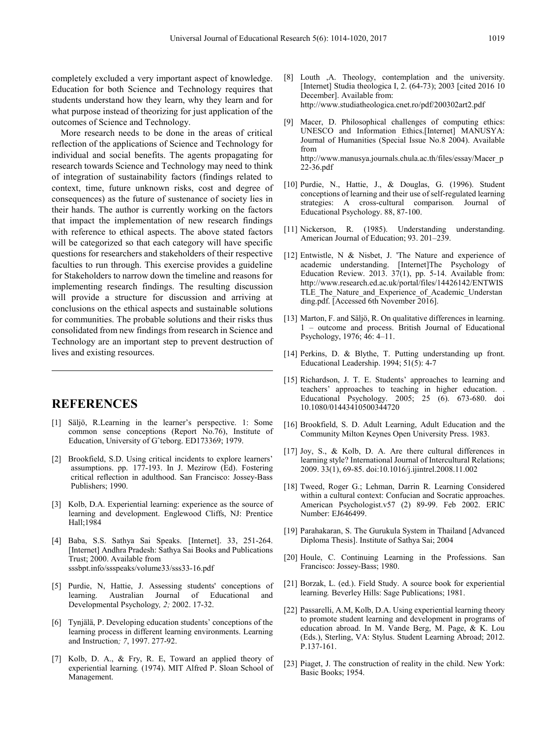completely excluded a very important aspect of knowledge. Education for both Science and Technology requires that students understand how they learn, why they learn and for what purpose instead of theorizing for just application of the outcomes of Science and Technology.

More research needs to be done in the areas of critical reflection of the applications of Science and Technology for individual and social benefits. The agents propagating for research towards Science and Technology may need to think of integration of sustainability factors (findings related to context, time, future unknown risks, cost and degree of consequences) as the future of sustenance of society lies in their hands. The author is currently working on the factors that impact the implementation of new research findings with reference to ethical aspects. The above stated factors will be categorized so that each category will have specific questions for researchers and stakeholders of their respective faculties to run through. This exercise provides a guideline for Stakeholders to narrow down the timeline and reasons for implementing research findings. The resulting discussion will provide a structure for discussion and arriving at conclusions on the ethical aspects and sustainable solutions for communities. The probable solutions and their risks thus consolidated from new findings from research in Science and Technology are an important step to prevent destruction of lives and existing resources.

# **REFERENCES**

- [1] Säljö, R.Learning in the learner's perspective. 1: Some common sense conceptions (Report No.76), Institute of Education, University of Gˆteborg. ED173369; 1979.
- [2] Brookfield, S.D. Using critical incidents to explore learners' assumptions. pp. 177-193. In J. Mezirow (Ed). Fostering critical reflection in adulthood. San Francisco: Jossey-Bass Publishers; 1990.
- [3] Kolb, D.A. Experiential learning: experience as the source of learning and development. Englewood Cliffs, NJ: Prentice Hall;1984
- [4] Baba, S.S. Sathya Sai Speaks. [Internet]. 33, 251-264. [Internet] Andhra Pradesh: Sathya Sai Books and Publications Trust; 2000. Available from sssbpt.info/ssspeaks/volume33/sss33-16.pdf
- [5] Purdie, N, Hattie, J. Assessing students' conceptions of learning. Australian Journal of Educational and Developmental Psychology*, 2;* 2002. 17-32.
- [6] Tynjälä, P. Developing education students' conceptions of the learning process in different learning environments. Learning and Instruction*; 7*, 1997. 277-92.
- [7] Kolb, D. A., & Fry, R. E, Toward an applied theory of experiential learning*.* (1974). MIT Alfred P. Sloan School of Management.
- [8] Louth ,A. Theology, contemplation and the university. [Internet] Studia theologica I, 2. (64-73); 2003 [cited 2016 10 December]. Available from: http://www.studiatheologica.cnet.ro/pdf/200302art2.pdf
- [9] Macer, D. Philosophical challenges of computing ethics: UNESCO and Information Ethics.[Internet] MANUSYA: Journal of Humanities (Special Issue No.8 2004). Available from http://www.manusya.journals.chula.ac.th/files/essay/Macer\_p 22-36.pdf
- [10] Purdie, N., Hattie, J., & Douglas, G. (1996). Student conceptions of learning and their use of self-regulated learning strategies: A cross-cultural comparison*.* Journal of Educational Psychology. 88, 87-100.
- [11] Nickerson, R. (1985). Understanding understanding. American Journal of Education; 93. 201–239.
- [12] Entwistle, N & Nisbet, J. 'The Nature and experience of academic understanding. [Internet]The Psychology of Education Review. 2013.  $37(1)$ , pp. 5-14. Available from: http://www.research.ed.ac.uk/portal/files/14426142/ENTWIS TLE The Nature and Experience of Academic Understan ding.pdf. [Accessed 6th November 2016].
- [13] Marton, F. and Säljö, R. On qualitative differences in learning. 1 – outcome and process. British Journal of Educational Psychology, 1976; 46: 4–11.
- [14] Perkins, D. & Blythe, T. Putting understanding up front. Educational Leadership. 1994; 51(5): 4-7
- [15] Richardson, J. T. E. Students' approaches to learning and teachers' approaches to teaching in higher education. . Educational Psychology. 2005; 25 (6). 673-680. doi 10.1080/01443410500344720
- [16] Brookfield, S. D. Adult Learning, Adult Education and the Community Milton Keynes Open University Press. 1983.
- [17] Joy, S., & Kolb, D. A. Are there cultural differences in learning style? International Journal of Intercultural Relations; 2009. 33(1), 69-85. doi:10.1016/j.ijintrel.2008.11.002
- [18] Tweed, Roger G.; Lehman, Darrin R. Learning Considered within a cultural context: Confucian and Socratic approaches. American Psychologist.v57 (2) 89-99. Feb 2002. ERIC Number: EJ646499.
- [19] Parahakaran, S. The Gurukula System in Thailand [Advanced Diploma Thesis]. Institute of Sathya Sai; 2004
- [20] Houle, C. Continuing Learning in the Professions. San Francisco: Jossey-Bass; 1980.
- [21] Borzak, L. (ed.). Field Study. A source book for experiential learning*.* Beverley Hills: Sage Publications; 1981.
- [22] Passarelli, A.M, Kolb, D.A. Using experiential learning theory to promote student learning and development in programs of education abroad. In M. Vande Berg, M. Page, & K. Lou (Eds.), Sterling, VA: Stylus. Student Learning Abroad; 2012. P.137-161.
- [23] Piaget, J. The construction of reality in the child. New York: Basic Books; 1954.